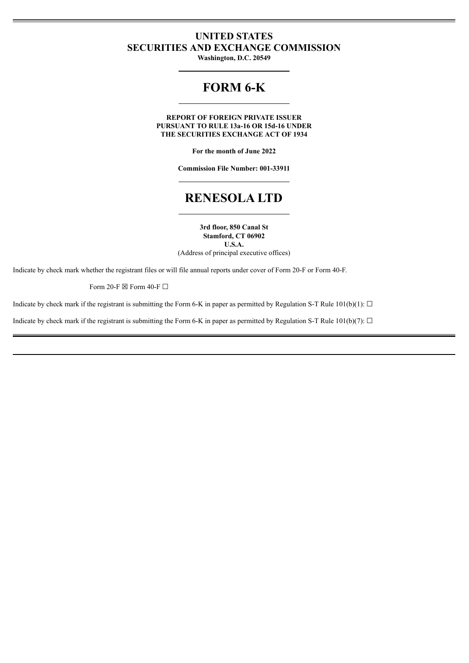# **UNITED STATES SECURITIES AND EXCHANGE COMMISSION**

**Washington, D.C. 20549**

# **FORM 6-K**

**REPORT OF FOREIGN PRIVATE ISSUER PURSUANT TO RULE 13a-16 OR 15d-16 UNDER THE SECURITIES EXCHANGE ACT OF 1934**

**For the month of June 2022**

**Commission File Number: 001-33911**

# **RENESOLA LTD**

**3rd floor, 850 Canal St Stamford, CT 06902 U.S.A.** (Address of principal executive offices)

Indicate by check mark whether the registrant files or will file annual reports under cover of Form 20-F or Form 40-F.

Form 20-F  $\boxtimes$  Form 40-F  $\Box$ 

Indicate by check mark if the registrant is submitting the Form 6-K in paper as permitted by Regulation S-T Rule 101(b)(1):  $\Box$ 

Indicate by check mark if the registrant is submitting the Form 6-K in paper as permitted by Regulation S-T Rule 101(b)(7):  $\Box$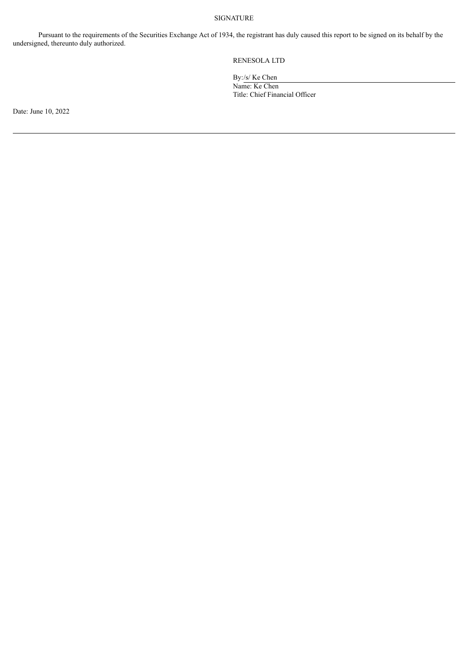#### SIGNATURE

Pursuant to the requirements of the Securities Exchange Act of 1934, the registrant has duly caused this report to be signed on its behalf by the undersigned, thereunto duly authorized.

# RENESOLA LTD

By:/s/ Ke Chen Name: Ke Chen Title: Chief Financial Officer

Date: June 10, 2022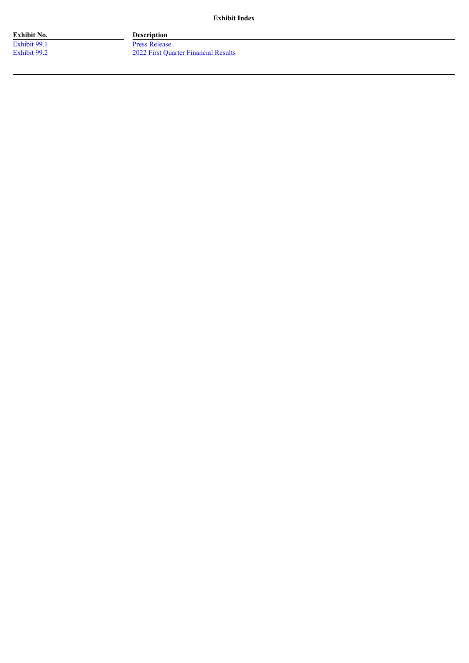**Exhibit Index**

**Exhibit No. Description**

[Exhibit](#page-3-0) 99.1 Press [Release](#page-3-0) [Exhibit](#page-5-0) 99.2 2022 First Quarter [Financial](#page-5-0) Results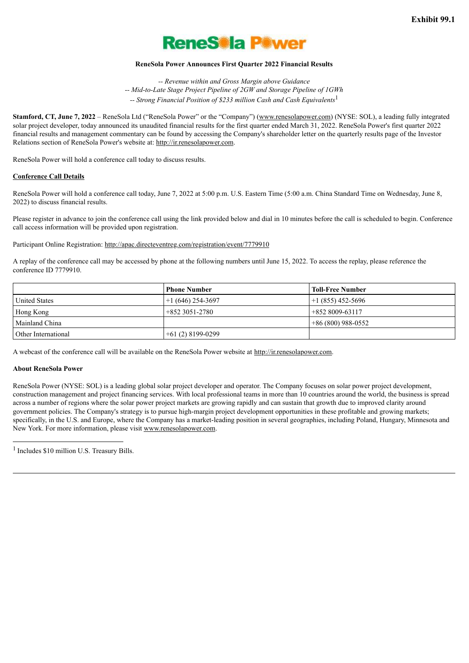

#### **ReneSola Power Announces First Quarter 2022 Financial Results**

*-- Revenue within and Gross Margin above Guidance -- Mid-to-Late Stage Project Pipeline of 2GW and Storage Pipeline of 1GWh -- Strong Financial Position of \$233 million Cash and Cash Equivalents* 1

<span id="page-3-0"></span>**Stamford, CT, June 7, 2022** – ReneSola Ltd ("ReneSola Power" or the "Company") (www.renesolapower.com) (NYSE: SOL), a leading fully integrated solar project developer, today announced its unaudited financial results for the first quarter ended March 31, 2022. ReneSola Power's first quarter 2022 financial results and management commentary can be found by accessing the Company's shareholder letter on the quarterly results page of the Investor Relations section of ReneSola Power's website at: http://ir.renesolapower.com.

ReneSola Power will hold a conference call today to discuss results.

#### **Conference Call Details**

ReneSola Power will hold a conference call today, June 7, 2022 at 5:00 p.m. U.S. Eastern Time (5:00 a.m. China Standard Time on Wednesday, June 8, 2022) to discuss financial results.

Please register in advance to join the conference call using the link provided below and dial in 10 minutes before the call is scheduled to begin. Conference call access information will be provided upon registration.

Participant Online Registration: http://apac.directeventreg.com/registration/event/7779910

A replay of the conference call may be accessed by phone at the following numbers until June 15, 2022. To access the replay, please reference the conference ID 7779910.

|                      | <b>Phone Number</b> | <b>Toll-Free Number</b> |
|----------------------|---------------------|-------------------------|
| <b>United States</b> | $+1(646)$ 254-3697  | $+1(855)$ 452-5696      |
| Hong Kong            | $+8523051-2780$     | +852 8009-63117         |
| Mainland China       |                     | $+86(800)988-0552$      |
| Other International  | $+61(2)8199-0299$   |                         |

A webcast of the conference call will be available on the ReneSola Power website at http://ir.renesolapower.com.

#### **About ReneSola Power**

ReneSola Power (NYSE: SOL) is a leading global solar project developer and operator. The Company focuses on solar power project development, construction management and project financing services. With local professional teams in more than 10 countries around the world, the business is spread across a number of regions where the solar power project markets are growing rapidly and can sustain that growth due to improved clarity around government policies. The Company's strategy is to pursue high-margin project development opportunities in these profitable and growing markets; specifically, in the U.S. and Europe, where the Company has a market-leading position in several geographies, including Poland, Hungary, Minnesota and New York. For more information, please visit www.renesolapower.com.

<sup>1</sup> Includes \$10 million U.S. Treasury Bills.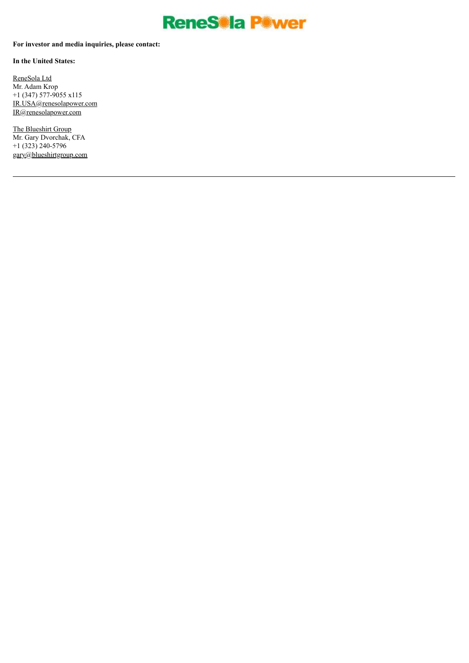

# **For investor and media inquiries, please contact:**

**In the United States:**

ReneSola Ltd Mr. Adam Krop +1 (347) 577-9055 x115 IR.USA@renesolapower.com IR@renesolapower.com

The Blueshirt Group Mr. Gary Dvorchak, CFA +1 (323) 240-5796 gary@blueshirtgroup.com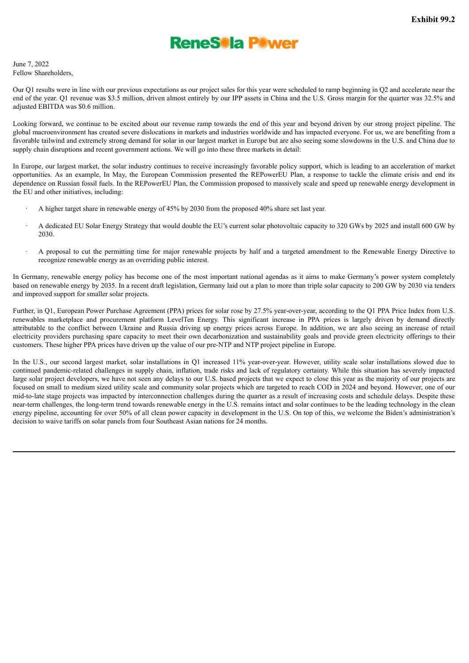

<span id="page-5-0"></span>June 7, 2022 Fellow Shareholders,

Our Q1 results were in line with our previous expectations as our project sales for this year were scheduled to ramp beginning in Q2 and accelerate near the end of the year. Q1 revenue was \$3.5 million, driven almost entirely by our IPP assets in China and the U.S. Gross margin for the quarter was 32.5% and adjusted EBITDA was \$0.6 million.

Looking forward, we continue to be excited about our revenue ramp towards the end of this year and beyond driven by our strong project pipeline. The global macroenvironment has created severe dislocations in markets and industries worldwide and has impacted everyone. For us, we are benefiting from a favorable tailwind and extremely strong demand for solar in our largest market in Europe but are also seeing some slowdowns in the U.S. and China due to supply chain disruptions and recent government actions. We will go into these three markets in detail:

In Europe, our largest market, the solar industry continues to receive increasingly favorable policy support, which is leading to an acceleration of market opportunities. As an example, In May, the European Commission presented the REPowerEU Plan, a response to tackle the climate crisis and end its dependence on Russian fossil fuels. In the REPowerEU Plan, the Commission proposed to massively scale and speed up renewable energy development in the EU and other initiatives, including:

- · A higher target share in renewable energy of 45% by 2030 from the proposed 40% share set last year.
- · A dedicated EU Solar Energy Strategy that would double the EU's current solar photovoltaic capacity to 320 GWs by 2025 and install 600 GW by 2030.
- · A proposal to cut the permitting time for major renewable projects by half and a targeted amendment to the Renewable Energy Directive to recognize renewable energy as an overriding public interest.

In Germany, renewable energy policy has become one of the most important national agendas as it aims to make Germany's power system completely based on renewable energy by 2035. In a recent draft legislation, Germany laid out a plan to more than triple solar capacity to 200 GW by 2030 via tenders and improved support for smaller solar projects.

Further, in Q1, European Power Purchase Agreement (PPA) prices for solar rose by 27.5% year-over-year, according to the Q1 PPA Price Index from U.S. renewables marketplace and procurement platform LevelTen Energy. This significant increase in PPA prices is largely driven by demand directly attributable to the conflict between Ukraine and Russia driving up energy prices across Europe. In addition, we are also seeing an increase of retail electricity providers purchasing spare capacity to meet their own decarbonization and sustainability goals and provide green electricity offerings to their customers. These higher PPA prices have driven up the value of our pre-NTP and NTP project pipeline in Europe.

In the U.S., our second largest market, solar installations in Q1 increased 11% year-over-year. However, utility scale solar installations slowed due to continued pandemic-related challenges in supply chain, inflation, trade risks and lack of regulatory certainty. While this situation has severely impacted large solar project developers, we have not seen any delays to our U.S. based projects that we expect to close this year as the majority of our projects are focused on small to medium sized utility scale and community solar projects which are targeted to reach COD in 2024 and beyond. However, one of our mid-to-late stage projects was impacted by interconnection challenges during the quarter as a result of increasing costs and schedule delays. Despite these near-term challenges, the long-term trend towards renewable energy in the U.S. remains intact and solar continues to be the leading technology in the clean energy pipeline, accounting for over 50% of all clean power capacity in development in the U.S. On top of this, we welcome the Biden's administration's decision to waive tariffs on solar panels from four Southeast Asian nations for 24 months.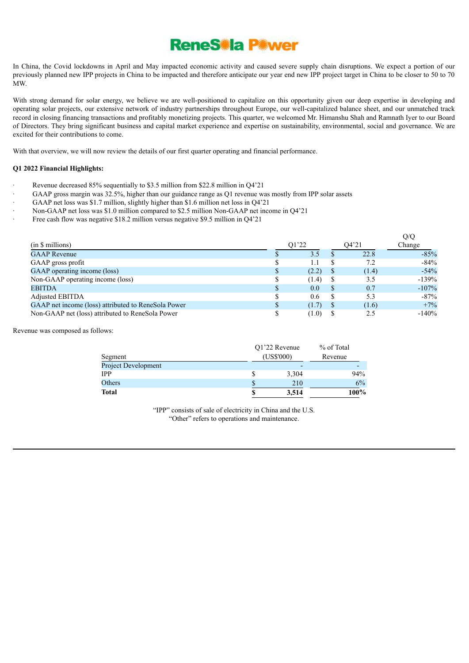

In China, the Covid lockdowns in April and May impacted economic activity and caused severe supply chain disruptions. We expect a portion of our previously planned new IPP projects in China to be impacted and therefore anticipate our year end new IPP project target in China to be closer to 50 to 70 MW.

With strong demand for solar energy, we believe we are well-positioned to capitalize on this opportunity given our deep expertise in developing and operating solar projects, our extensive network of industry partnerships throughout Europe, our well-capitalized balance sheet, and our unmatched track record in closing financing transactions and profitably monetizing projects. This quarter, we welcomed Mr. Himanshu Shah and Ramnath Iyer to our Board of Directors. They bring significant business and capital market experience and expertise on sustainability, environmental, social and governance. We are excited for their contributions to come.

With that overview, we will now review the details of our first quarter operating and financial performance.

#### **Q1 2022 Financial Highlights:**

- Revenue decreased 85% sequentially to \$3.5 million from \$22.8 million in Q4'21
	- GAAP gross margin was 32.5%, higher than our guidance range as Q1 revenue was mostly from IPP solar assets
- GAAP net loss was \$1.7 million, slightly higher than \$1.6 million net loss in Q4'21
- · Non-GAAP net loss was \$1.0 million compared to \$2.5 million Non-GAAP net income in Q4'21
- Free cash flow was negative \$18.2 million versus negative \$9.5 million in Q4'21

|                                                     |              |       |       | Q/Q     |
|-----------------------------------------------------|--------------|-------|-------|---------|
| (in \$ millions)                                    |              | 01'22 | 04'21 | Change  |
| <b>GAAP</b> Revenue                                 |              | 3.5   | 22.8  | $-85%$  |
| GAAP gross profit                                   |              | 1.1   | 7.2   | $-84\%$ |
| GAAP operating income (loss)                        | $\mathbf{D}$ | (2.2) | (1.4) | $-54%$  |
| Non-GAAP operating income (loss)                    |              | (1.4) | 3.5   | $-139%$ |
| EBITDA                                              | $\mathbf{D}$ | 0.0   | 0.7   | $-107%$ |
| Adjusted EBITDA                                     |              | 0.6   | 5.3   | $-87%$  |
| GAAP net income (loss) attributed to ReneSola Power |              | (1.7) | (1.6) | $+7%$   |
| Non-GAAP net (loss) attributed to ReneSola Power    |              | (1.0) | 2.5   | $-140%$ |

Revenue was composed as follows:

| Segment                    | Q1'22 Revenue<br>(US\$'000) | % of Total<br>Revenue |  |
|----------------------------|-----------------------------|-----------------------|--|
| <b>Project Development</b> |                             |                       |  |
| <b>IPP</b>                 | 3,304                       | 94%                   |  |
| Others                     | 210                         | 6%                    |  |
| Total                      | 3,514                       | 100%                  |  |

"IPP" consists of sale of electricity in China and the U.S. "Other" refers to operations and maintenance.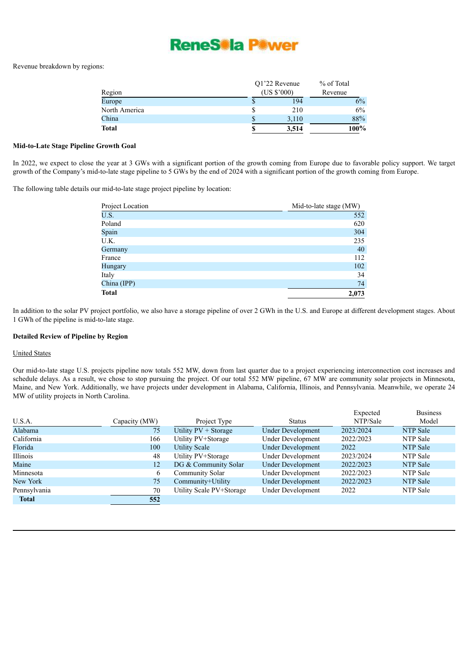

Revenue breakdown by regions:

|               | O1'22 Revenue |                     | % of Total |  |
|---------------|---------------|---------------------|------------|--|
| Region        |               | $(US $^{\circ}000)$ | Revenue    |  |
| Europe        |               | 194                 | 6%         |  |
| North America |               | 210                 | 6%         |  |
| China         |               | 3,110               | 88%        |  |
| <b>Total</b>  | S             | 3,514               | $100\%$    |  |

#### **Mid-to-Late Stage Pipeline Growth Goal**

In 2022, we expect to close the year at 3 GWs with a significant portion of the growth coming from Europe due to favorable policy support. We target growth of the Company's mid-to-late stage pipeline to 5 GWs by the end of 2024 with a significant portion of the growth coming from Europe.

The following table details our mid-to-late stage project pipeline by location:

| Project Location | Mid-to-late stage (MW) |
|------------------|------------------------|
| U.S.             | $\overline{552}$       |
| Poland           | 620                    |
| Spain            | 304                    |
| U.K.             | 235                    |
| Germany          | 40                     |
| France           | 112                    |
| Hungary          | 102                    |
| Italy            | 34                     |
| China (IPP)      | 74                     |
| <b>Total</b>     | 2,073                  |

In addition to the solar PV project portfolio, we also have a storage pipeline of over 2 GWh in the U.S. and Europe at different development stages. About 1 GWh of the pipeline is mid-to-late stage.

#### **Detailed Review of Pipeline by Region**

#### United States

Our mid-to-late stage U.S. projects pipeline now totals 552 MW, down from last quarter due to a project experiencing interconnection cost increases and schedule delays. As a result, we chose to stop pursuing the project. Of our total 552 MW pipeline, 67 MW are community solar projects in Minnesota, Maine, and New York. Additionally, we have projects under development in Alabama, California, Illinois, and Pennsylvania. Meanwhile, we operate 24 MW of utility projects in North Carolina.

 $E$ xpootod

Business

|              |               |                          |                          | LAPOUU    | Duomeoo         |
|--------------|---------------|--------------------------|--------------------------|-----------|-----------------|
| U.S.A.       | Capacity (MW) | Project Type             | <b>Status</b>            | NTP/Sale  | Model           |
| Alabama      | 75            | Utility $PV + Storage$   | <b>Under Development</b> | 2023/2024 | NTP Sale        |
| California   | 166           | Utility PV+Storage       | <b>Under Development</b> | 2022/2023 | NTP Sale        |
| Florida      | 100           | <b>Utility Scale</b>     | <b>Under Development</b> | 2022      | NTP Sale        |
| Illinois     | 48            | Utility PV+Storage       | <b>Under Development</b> | 2023/2024 | NTP Sale        |
| Maine        | 12            | DG & Community Solar     | <b>Under Development</b> | 2022/2023 | <b>NTP Sale</b> |
| Minnesota    | 6             | Community Solar          | Under Development        | 2022/2023 | NTP Sale        |
| New York     | 75            | Community+Utility        | <b>Under Development</b> | 2022/2023 | NTP Sale        |
| Pennsylvania | 70            | Utility Scale PV+Storage | <b>Under Development</b> | 2022      | NTP Sale        |
| <b>Total</b> | 552           |                          |                          |           |                 |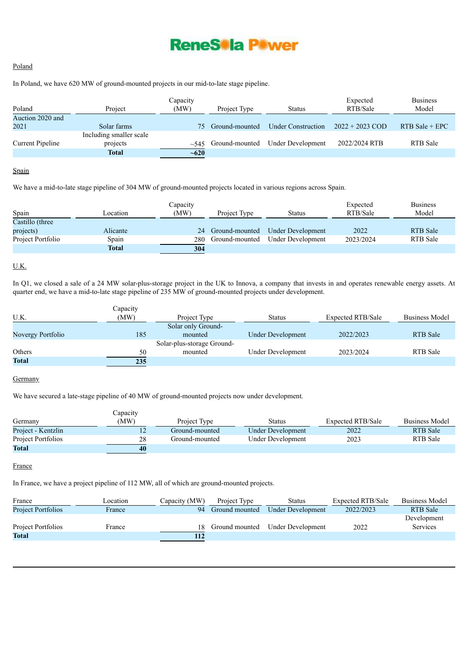

## Poland

In Poland, we have 620 MW of ground-mounted projects in our mid-to-late stage pipeline.

| Poland                   | Project                                             | Capacity<br>(MW) | Project Type              | <b>Status</b>             | Expected<br>RTB/Sale | <b>Business</b><br>Model |
|--------------------------|-----------------------------------------------------|------------------|---------------------------|---------------------------|----------------------|--------------------------|
| Auction 2020 and<br>2021 | Solar farms                                         | 75.              | Ground-mounted            | <b>Under Construction</b> | $2022 + 2023$ COD    | $RTB$ Sale + EPC         |
| <b>Current Pipeline</b>  | Including smaller scale<br>projects<br><b>Total</b> | $~10^{-620}$     | $\sim$ 545 Ground-mounted | Under Development         | 2022/2024 RTB        | <b>RTB</b> Sale          |

## Spain

We have a mid-to-late stage pipeline of 304 MW of ground-mounted projects located in various regions across Spain.

| Capacity          |                  |      |                |                          | Expected  | <b>Business</b> |  |
|-------------------|------------------|------|----------------|--------------------------|-----------|-----------------|--|
| Spain             | <i>c</i> ocation | (MW) | Project Type   | <b>Status</b>            | RTB/Sale  | Model           |  |
| Castillo (three   |                  |      |                |                          |           |                 |  |
| projects)         | Alicante         | 24   | Ground-mounted | <b>Under Development</b> | 2022      | <b>RTB</b> Sale |  |
| Project Portfolio | Spain            | 280  | Ground-mounted | Under Development        | 2023/2024 | <b>RTB</b> Sale |  |
|                   | <b>Total</b>     | 304  |                |                          |           |                 |  |

## U.K.

In Q1, we closed a sale of a 24 MW solar-plus-storage project in the UK to Innova, a company that invests in and operates renewable energy assets. At quarter end, we have a mid-to-late stage pipeline of 235 MW of ground-mounted projects under development.

|                   | Capacity |                            |                          |                          |                 |
|-------------------|----------|----------------------------|--------------------------|--------------------------|-----------------|
| U.K.              | (MW)     | Project Type               | Status                   | <b>Expected RTB/Sale</b> | Business Model  |
|                   |          | Solar only Ground-         |                          |                          |                 |
| Novergy Portfolio | 185      | mounted                    | <b>Under Development</b> | 2022/2023                | <b>RTB</b> Sale |
|                   |          | Solar-plus-storage Ground- |                          |                          |                 |
| Others            | 50       | mounted                    | <b>Under Development</b> | 2023/2024                | <b>RTB</b> Sale |
| <b>Total</b>      | 235      |                            |                          |                          |                 |

# **Germany**

We have secured a late-stage pipeline of 40 MW of ground-mounted projects now under development.

|                    | Capacity |                |                   |                          |                       |
|--------------------|----------|----------------|-------------------|--------------------------|-----------------------|
| Germany            | (MW)     | Project Type   | Status            | <b>Expected RTB/Sale</b> | <b>Business Model</b> |
| Project - Kentzlin |          | Ground-mounted | Under Development | 2022                     | <b>RTB</b> Sale       |
| Project Portfolios | 28       | Ground-mounted | Under Development | 2023                     | RTB Sale              |
| <b>Total</b>       | 40       |                |                   |                          |                       |

#### France

In France, we have a project pipeline of 112 MW, all of which are ground-mounted projects.

| France                    | _ocation | Capacity (MW) | Project Type   | Status            | <b>Expected RTB/Sale</b> | <b>Business Model</b>   |
|---------------------------|----------|---------------|----------------|-------------------|--------------------------|-------------------------|
| <b>Project Portfolios</b> | France   | 94            | Ground mounted | Under Development | 2022/2023                | <b>RTB</b> Sale         |
| Project Portfolios        | France   |               | Ground mounted | Under Development | 2022                     | Development<br>Services |
| <b>Total</b>              |          | 112           |                |                   |                          |                         |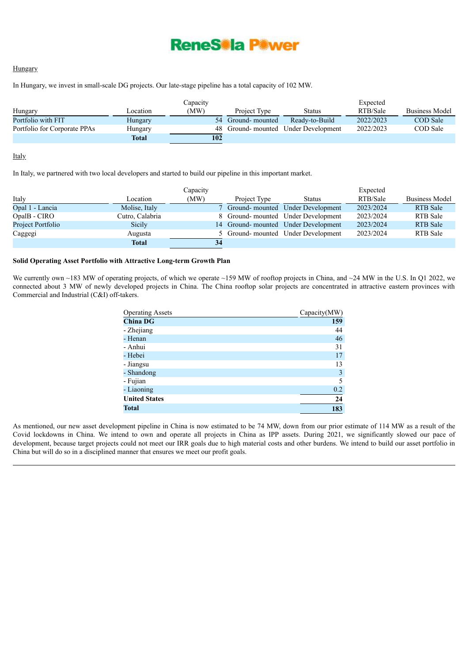

#### **Hungary**

In Hungary, we invest in small-scale DG projects. Our late-stage pipeline has a total capacity of 102 MW.

|                              |              | Capacity |                   |                                     | Expected  |                 |
|------------------------------|--------------|----------|-------------------|-------------------------------------|-----------|-----------------|
| Hungary                      | ocation_     | (MW)     | Project Type      | Status                              | RTB/Sale  | Business Model  |
| Portfolio with FIT           | Hungary      |          | 54 Ground-mounted | Ready-to-Build                      | 2022/2023 | <b>COD</b> Sale |
| Portfolio for Corporate PPAs | Hungary      |          |                   | 48 Ground-mounted Under Development | 2022/2023 | COD Sale        |
|                              | <b>Total</b> | 102      |                   |                                     |           |                 |

#### **Italy**

In Italy, we partnered with two local developers and started to build our pipeline in this important market.

|                   |                 | Capacity |              |                                     | Expected  |                       |
|-------------------|-----------------|----------|--------------|-------------------------------------|-----------|-----------------------|
| Italy             | Location        | (MW)     | Project Type | <b>Status</b>                       | RTB/Sale  | <b>Business Model</b> |
| Opal 1 - Lancia   | Molise, Italy   |          |              | 7 Ground-mounted Under Development  | 2023/2024 | <b>RTB</b> Sale       |
| OpalB - CIRO      | Cutro, Calabria |          |              | 8 Ground-mounted Under Development  | 2023/2024 | RTB Sale              |
| Project Portfolio | Sicily          |          |              | 14 Ground-mounted Under Development | 2023/2024 | <b>RTB</b> Sale       |
| Caggegi           | Augusta         |          |              | 5 Ground-mounted Under Development  | 2023/2024 | RTB Sale              |
|                   | <b>Total</b>    | 34       |              |                                     |           |                       |

#### **Solid Operating Asset Portfolio with Attractive Long-term Growth Plan**

We currently own ~183 MW of operating projects, of which we operate ~159 MW of rooftop projects in China, and ~24 MW in the U.S. In Q1 2022, we connected about 3 MW of newly developed projects in China. The China rooftop solar projects are concentrated in attractive eastern provinces with Commercial and Industrial (C&I) off-takers.

| <b>Operating Assets</b> | Capacity(MW) |
|-------------------------|--------------|
| <b>China DG</b>         | 159          |
| - Zhejiang              | 44           |
| - Henan                 | 46           |
| - Anhui                 | 31           |
| - Hebei                 | 17           |
| - Jiangsu               | 13           |
| - Shandong              | 3            |
| - Fujian                | 5            |
| - Liaoning              | 0.2          |
| <b>United States</b>    | 24           |
| <b>Total</b>            | 183          |

As mentioned, our new asset development pipeline in China is now estimated to be 74 MW, down from our prior estimate of 114 MW as a result of the Covid lockdowns in China. We intend to own and operate all projects in China as IPP assets. During 2021, we significantly slowed our pace of development, because target projects could not meet our IRR goals due to high material costs and other burdens. We intend to build our asset portfolio in China but will do so in a disciplined manner that ensures we meet our profit goals.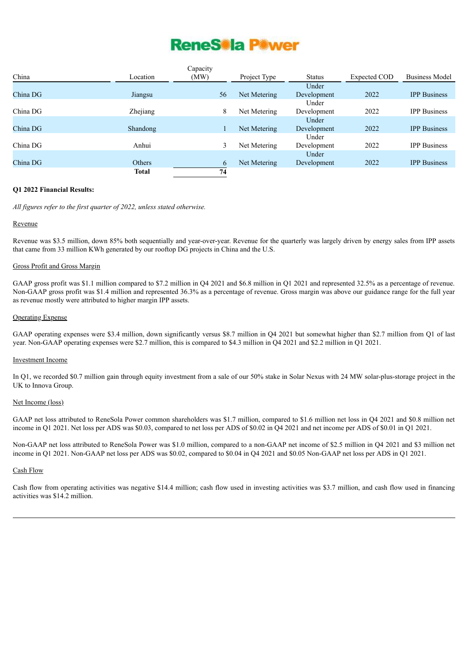# ReneS<sup>®</sup>la P<sup>®</sup>wer

|          |               | Capacity |              |               |                     |                       |
|----------|---------------|----------|--------------|---------------|---------------------|-----------------------|
| China    | Location      | (MW)     | Project Type | <b>Status</b> | <b>Expected COD</b> | <b>Business Model</b> |
|          |               |          |              | Under         |                     |                       |
| China DG | Jiangsu       | 56       | Net Metering | Development   | 2022                | <b>IPP</b> Business   |
|          |               |          |              | Under         |                     |                       |
| China DG | Zhejiang      | 8        | Net Metering | Development   | 2022                | <b>IPP</b> Business   |
|          |               |          |              | Under         |                     |                       |
| China DG | Shandong      |          | Net Metering | Development   | 2022                | <b>IPP</b> Business   |
|          |               |          |              | Under         |                     |                       |
| China DG | Anhui         | 3        | Net Metering | Development   | 2022                | <b>IPP</b> Business   |
|          |               |          |              | Under         |                     |                       |
| China DG | <b>Others</b> | 6        | Net Metering | Development   | 2022                | <b>IPP</b> Business   |
|          | <b>Total</b>  | 74       |              |               |                     |                       |

#### **Q1 2022 Financial Results:**

*All figures refer to the first quarter of 2022, unless stated otherwise.*

#### Revenue

Revenue was \$3.5 million, down 85% both sequentially and year-over-year. Revenue for the quarterly was largely driven by energy sales from IPP assets that came from 33 million KWh generated by our rooftop DG projects in China and the U.S.

#### Gross Profit and Gross Margin

GAAP gross profit was \$1.1 million compared to \$7.2 million in Q4 2021 and \$6.8 million in Q1 2021 and represented 32.5% as a percentage of revenue. Non-GAAP gross profit was \$1.4 million and represented 36.3% as a percentage of revenue. Gross margin was above our guidance range for the full year as revenue mostly were attributed to higher margin IPP assets.

#### Operating Expense

GAAP operating expenses were \$3.4 million, down significantly versus \$8.7 million in Q4 2021 but somewhat higher than \$2.7 million from Q1 of last year. Non-GAAP operating expenses were \$2.7 million, this is compared to \$4.3 million in Q4 2021 and \$2.2 million in Q1 2021.

#### Investment Income

In Q1, we recorded \$0.7 million gain through equity investment from a sale of our 50% stake in Solar Nexus with 24 MW solar-plus-storage project in the UK to Innova Group.

## Net Income (loss)

GAAP net loss attributed to ReneSola Power common shareholders was \$1.7 million, compared to \$1.6 million net loss in Q4 2021 and \$0.8 million net income in Q1 2021. Net loss per ADS was \$0.03, compared to net loss per ADS of \$0.02 in Q4 2021 and net income per ADS of \$0.01 in Q1 2021.

Non-GAAP net loss attributed to ReneSola Power was \$1.0 million, compared to a non-GAAP net income of \$2.5 million in Q4 2021 and \$3 million net income in Q1 2021. Non-GAAP net loss per ADS was \$0.02, compared to \$0.04 in Q4 2021 and \$0.05 Non-GAAP net loss per ADS in Q1 2021.

#### Cash Flow

Cash flow from operating activities was negative \$14.4 million; cash flow used in investing activities was \$3.7 million, and cash flow used in financing activities was \$14.2 million.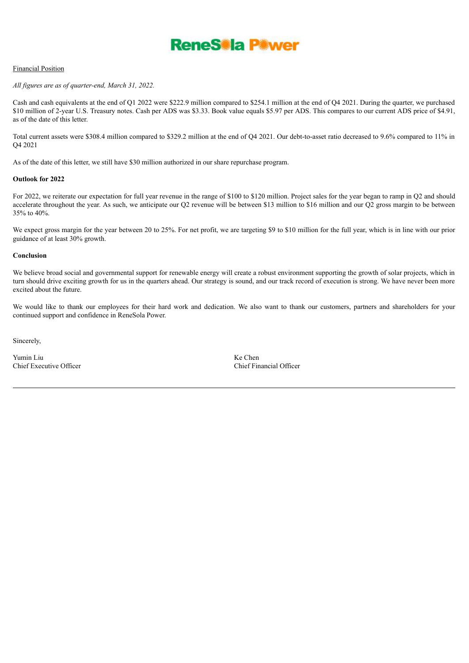

#### Financial Position

#### *All figures are as of quarter-end, March 31, 2022.*

Cash and cash equivalents at the end of Q1 2022 were \$222.9 million compared to \$254.1 million at the end of Q4 2021. During the quarter, we purchased \$10 million of 2-year U.S. Treasury notes. Cash per ADS was \$3.33. Book value equals \$5.97 per ADS. This compares to our current ADS price of \$4.91, as of the date of this letter.

Total current assets were \$308.4 million compared to \$329.2 million at the end of Q4 2021. Our debt-to-asset ratio decreased to 9.6% compared to 11% in Q4 2021

As of the date of this letter, we still have \$30 million authorized in our share repurchase program.

#### **Outlook for 2022**

For 2022, we reiterate our expectation for full year revenue in the range of \$100 to \$120 million. Project sales for the year began to ramp in Q2 and should accelerate throughout the year. As such, we anticipate our Q2 revenue will be between \$13 million to \$16 million and our Q2 gross margin to be between 35% to 40%.

We expect gross margin for the year between 20 to 25%. For net profit, we are targeting \$9 to \$10 million for the full year, which is in line with our prior guidance of at least 30% growth.

#### **Conclusion**

We believe broad social and governmental support for renewable energy will create a robust environment supporting the growth of solar projects, which in turn should drive exciting growth for us in the quarters ahead. Our strategy is sound, and our track record of execution is strong. We have never been more excited about the future.

We would like to thank our employees for their hard work and dedication. We also want to thank our customers, partners and shareholders for your continued support and confidence in ReneSola Power.

Sincerely,

Yumin Liu<br>
Chief Executive Officer<br>
Chief Executive Officer<br>
Chief Einancial Officer Chief Executive Officer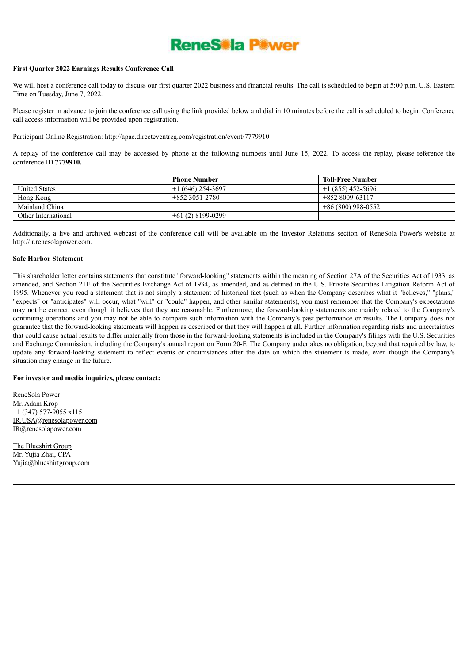# **ReneSola Power**

#### **First Quarter 2022 Earnings Results Conference Call**

We will host a conference call today to discuss our first quarter 2022 business and financial results. The call is scheduled to begin at 5:00 p.m. U.S. Eastern Time on Tuesday, June 7, 2022.

Please register in advance to join the conference call using the link provided below and dial in 10 minutes before the call is scheduled to begin. Conference call access information will be provided upon registration.

#### Participant Online Registration: http://apac.directeventreg.com/registration/event/7779910

A replay of the conference call may be accessed by phone at the following numbers until June 15, 2022. To access the replay, please reference the conference ID **7779910.**

|                      | <b>Phone Number</b> | <b>Toll-Free Number</b> |
|----------------------|---------------------|-------------------------|
| <b>United States</b> | $+1(646)$ 254-3697  | $+1(855)$ 452-5696      |
| Hong Kong            | $+8523051-2780$     | $+8528009-63117$        |
| Mainland China       |                     | $+86(800)$ 988-0552     |
| Other International  | $+61(2)8199-0299$   |                         |

Additionally, a live and archived webcast of the conference call will be available on the Investor Relations section of ReneSola Power's website at http://ir.renesolapower.com.

#### **Safe Harbor Statement**

This shareholder letter contains statements that constitute ''forward-looking" statements within the meaning of Section 27A of the Securities Act of 1933, as amended, and Section 21E of the Securities Exchange Act of 1934, as amended, and as defined in the U.S. Private Securities Litigation Reform Act of 1995. Whenever you read a statement that is not simply a statement of historical fact (such as when the Company describes what it "believes," "plans," "expects" or "anticipates" will occur, what "will" or "could" happen, and other similar statements), you must remember that the Company's expectations may not be correct, even though it believes that they are reasonable. Furthermore, the forward-looking statements are mainly related to the Company's continuing operations and you may not be able to compare such information with the Company's past performance or results. The Company does not guarantee that the forward-looking statements will happen as described or that they will happen at all. Further information regarding risks and uncertainties that could cause actual results to differ materially from those in the forward-looking statements is included in the Company's filings with the U.S. Securities and Exchange Commission, including the Company's annual report on Form 20-F. The Company undertakes no obligation, beyond that required by law, to update any forward-looking statement to reflect events or circumstances after the date on which the statement is made, even though the Company's situation may change in the future.

#### **For investor and media inquiries, please contact:**

ReneSola Power Mr. Adam Krop +1 (347) 577-9055 x115 IR.USA@renesolapower.com IR@renesolapower.com

The Blueshirt Group Mr. Yujia Zhai, CPA Yujia@blueshirtgroup.com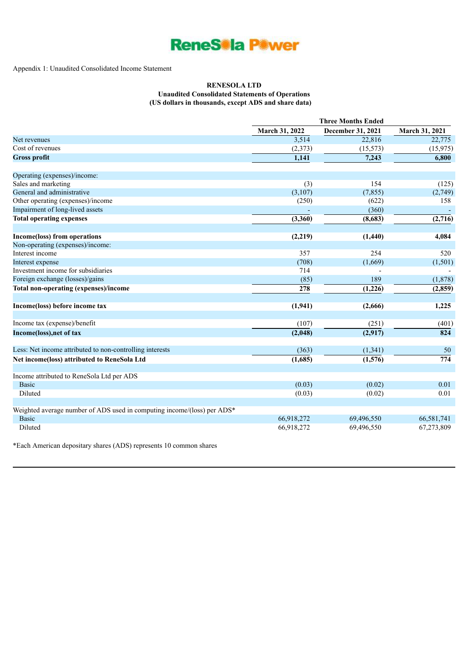

#### Appendix 1: Unaudited Consolidated Income Statement

#### **RENESOLA LTD Unaudited Consolidated Statements of Operations**

**(US dollars in thousands, except ADS and share data)**

|                                                                         | <b>Three Months Ended</b> |                   |                       |  |
|-------------------------------------------------------------------------|---------------------------|-------------------|-----------------------|--|
|                                                                         | <b>March 31, 2022</b>     | December 31, 2021 | <b>March 31, 2021</b> |  |
| Net revenues                                                            | 3,514                     | 22,816            | 22,775                |  |
| Cost of revenues                                                        | (2,373)                   | (15, 573)         | (15, 975)             |  |
| <b>Gross profit</b>                                                     | 1,141                     | 7,243             | 6,800                 |  |
| Operating (expenses)/income:                                            |                           |                   |                       |  |
| Sales and marketing                                                     | (3)                       | 154               | (125)                 |  |
| General and administrative                                              | (3,107)                   | (7, 855)          | (2,749)               |  |
| Other operating (expenses)/income                                       | (250)                     | (622)             | 158                   |  |
| Impairment of long-lived assets                                         |                           | (360)             |                       |  |
| <b>Total operating expenses</b>                                         | (3,360)                   | (8,683)           | (2,716)               |  |
| Income(loss) from operations                                            | (2,219)                   | (1,440)           | 4,084                 |  |
| Non-operating (expenses)/income:                                        |                           |                   |                       |  |
| Interest income                                                         | 357                       | 254               | 520                   |  |
| Interest expense                                                        | (708)                     | (1,669)           | (1, 501)              |  |
| Investment income for subsidiaries                                      | 714                       |                   |                       |  |
| Foreign exchange (losses)/gains                                         | (85)                      | 189               | (1, 878)              |  |
| <b>Total non-operating (expenses)/income</b>                            | 278                       | (1,226)           | (2, 859)              |  |
| Income(loss) before income tax                                          | (1, 941)                  | (2,666)           | 1,225                 |  |
| Income tax (expense)/benefit                                            | (107)                     | (251)             | (401)                 |  |
| Income(loss), net of tax                                                | (2,048)                   | (2,917)           | 824                   |  |
|                                                                         |                           |                   |                       |  |
| Less: Net income attributed to non-controlling interests                | (363)                     | (1, 341)          | 50                    |  |
| Net income(loss) attributed to ReneSola Ltd                             | (1,685)                   | (1,576)           | $\overline{774}$      |  |
| Income attributed to ReneSola Ltd per ADS                               |                           |                   |                       |  |
| <b>Basic</b>                                                            | (0.03)                    | (0.02)            | 0.01                  |  |
| Diluted                                                                 | (0.03)                    | (0.02)            | 0.01                  |  |
| Weighted average number of ADS used in computing income/(loss) per ADS* |                           |                   |                       |  |
| <b>Basic</b>                                                            | 66,918,272                | 69,496,550        | 66,581,741            |  |
| Diluted                                                                 | 66,918,272                | 69,496,550        | 67,273,809            |  |

\*Each American depositary shares (ADS) represents 10 common shares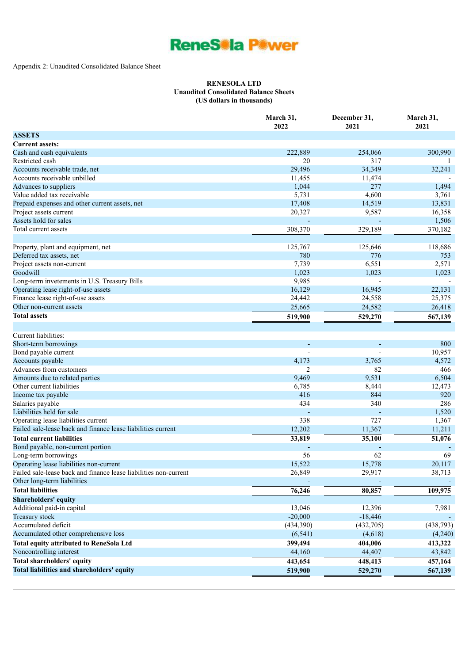

# Appendix 2: Unaudited Consolidated Balance Sheet

## **RENESOLA LTD Unaudited Consolidated Balance Sheets (US dollars in thousands)**

|                                                                  | March 31,<br>2022        | December 31,<br>2021 | March 31,<br>2021 |
|------------------------------------------------------------------|--------------------------|----------------------|-------------------|
| <b>ASSETS</b>                                                    |                          |                      |                   |
| <b>Current assets:</b>                                           |                          |                      |                   |
| Cash and cash equivalents                                        | 222,889                  | 254,066              | 300,990           |
| Restricted cash                                                  | 20                       | 317                  |                   |
| Accounts receivable trade, net                                   | 29,496                   | 34,349               | 32,241            |
| Accounts receivable unbilled                                     | 11,455                   | 11,474               |                   |
| Advances to suppliers                                            | 1,044                    | 277                  | 1,494             |
| Value added tax receivable                                       | 5,731                    | 4,600                | 3,761             |
| Prepaid expenses and other current assets, net                   | 17,408                   | 14,519               | 13,831            |
| Project assets current                                           | 20,327                   | 9,587                | 16,358            |
| Assets hold for sales                                            |                          |                      | 1,506             |
| Total current assets                                             | 308,370                  | 329,189              | 370,182           |
|                                                                  |                          |                      |                   |
| Property, plant and equipment, net                               | 125,767                  | 125,646              | 118,686           |
| Deferred tax assets, net                                         | 780                      | 776                  | 753               |
| Project assets non-current                                       | 7,739                    | 6,551                | 2,571             |
| Goodwill                                                         | 1,023                    | 1,023                | 1,023             |
| Long-term invetements in U.S. Treasury Bills                     | 9,985                    |                      |                   |
| Operating lease right-of-use assets                              | 16,129                   | 16,945               | 22,131            |
| Finance lease right-of-use assets                                | 24,442                   | 24,558               | 25,375            |
| Other non-current assets                                         | 25,665                   | 24,582               | 26,418            |
| <b>Total assets</b>                                              |                          | 529,270              |                   |
|                                                                  | 519,900                  |                      | 567,139           |
| Current liabilities:                                             |                          |                      |                   |
| Short-term borrowings                                            | $\overline{\phantom{a}}$ |                      | 800               |
| Bond payable current                                             |                          |                      | 10,957            |
| Accounts payable                                                 | 4,173                    | 3,765                | 4,572             |
| Advances from customers                                          | 2                        | 82                   | 466               |
| Amounts due to related parties                                   | 9,469                    | 9,531                | 6,504             |
| Other current liabilities                                        | 6,785                    | 8,444                | 12,473            |
| Income tax payable                                               | 416                      | 844                  | 920               |
| Salaries payable                                                 | 434                      | 340                  | 286               |
| Liabilities held for sale                                        |                          |                      | 1,520             |
| Operating lease liabilities current                              | 338                      | 727                  | 1,367             |
| Failed sale-lease back and finance lease liabilities current     | 12,202                   | 11,367               | 11,211            |
| <b>Total current liabilities</b>                                 | 33,819                   | 35,100               | 51,076            |
| Bond payable, non-current portion                                |                          |                      |                   |
| Long-term borrowings                                             | 56                       | 62                   | 69                |
| Operating lease liabilities non-current                          | 15,522                   | 15,778               | 20,117            |
| Failed sale-lease back and finance lease liabilities non-current | 26,849                   | 29,917               | 38,713            |
| Other long-term liabilities                                      |                          |                      |                   |
| <b>Total liabilities</b>                                         | 76,246                   | 80,857               | 109,975           |
| <b>Shareholders' equity</b>                                      |                          |                      |                   |
| Additional paid-in capital                                       | 13,046                   | 12,396               | 7,981             |
| Treasury stock                                                   | $-20,000$                | $-18,446$            |                   |
| Accumulated deficit                                              | (434,390)                | (432,705)            | (438, 793)        |
| Accumulated other comprehensive loss                             | (6, 541)                 | (4,618)              | (4,240)           |
| <b>Total equity attributed to ReneSola Ltd</b>                   | 399,494                  | 404,006              | 413,322           |
|                                                                  |                          |                      |                   |
| Noncontrolling interest                                          | 44,160                   | 44,407               | 43,842            |
| Total shareholders' equity                                       | 443,654                  | 448,413              | 457,164           |
| Total liabilities and shareholders' equity                       | 519,900                  | 529,270              | 567,139           |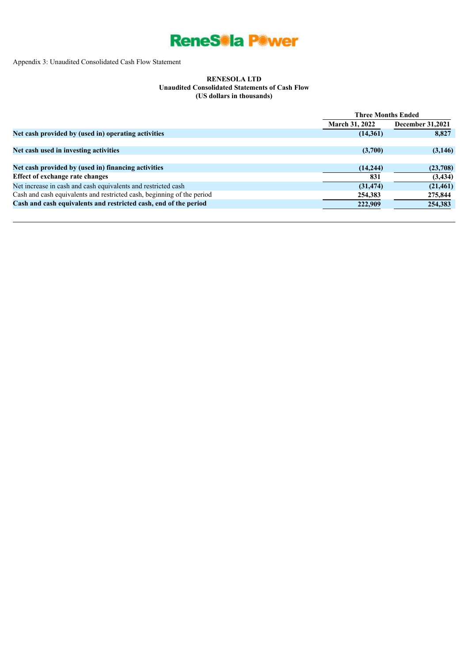

Appendix 3: Unaudited Consolidated Cash Flow Statement

#### **RENESOLA LTD Unaudited Consolidated Statements of Cash Flow (US dollars in thousands)**

|                                                                        | <b>Three Months Ended</b> |                         |  |
|------------------------------------------------------------------------|---------------------------|-------------------------|--|
|                                                                        | <b>March 31, 2022</b>     | <b>December 31,2021</b> |  |
| Net cash provided by (used in) operating activities                    | (14,361)                  | 8,827                   |  |
|                                                                        |                           |                         |  |
| Net cash used in investing activities                                  | (3,700)                   | (3,146)                 |  |
|                                                                        |                           |                         |  |
| Net cash provided by (used in) financing activities                    | (14,244)                  | (23,708)                |  |
| Effect of exchange rate changes                                        | 831                       | (3, 434)                |  |
| Net increase in cash and cash equivalents and restricted cash          | (31, 474)                 | (21, 461)               |  |
| Cash and cash equivalents and restricted cash, beginning of the period | 254,383                   | 275,844                 |  |
| Cash and cash equivalents and restricted cash, end of the period       | 222,909                   | 254,383                 |  |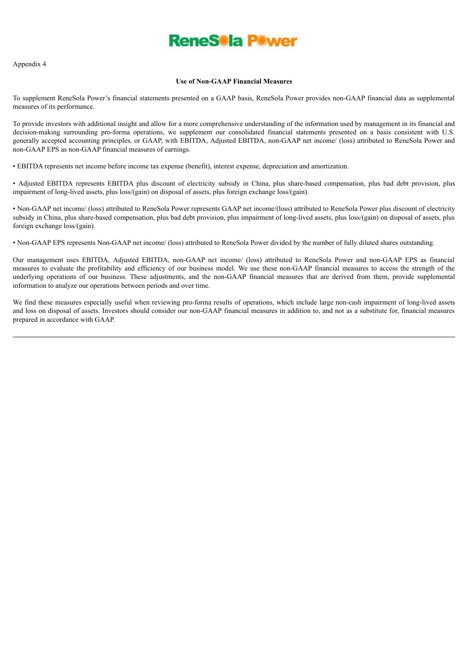

Appendix 4

#### **Use of Non-GAAP Financial Measures**

To supplement ReneSola Power's financial statements presented on a GAAP basis, ReneSola Power provides non-GAAP financial data as supplemental measures of its performance.

To provide investors with additional insight and allow for a more comprehensive understanding of the information used by management in its financial and decision-making surrounding pro-forma operations, we supplement our consolidated financial statements presented on a basis consistent with U.S. generally accepted accounting principles, or GAAP, with EBITDA, Adjusted EBITDA, non-GAAP net income/ (loss) attributed to ReneSola Power and non-GAAP EPS as non-GAAP financial measures of earnings.

• EBITDA represents net income before income tax expense (benefit), interest expense, depreciation and amortization.

• Adjusted EBITDA represents EBITDA plus discount of electricity subsidy in China, plus share-based compensation, plus bad debt provision, plus impairment of long-lived assets, plus loss/(gain) on disposal of assets, plus foreign exchange loss/(gain).

• Non-GAAP net income/ (loss) attributed to ReneSola Power represents GAAP net income/(loss) attributed to ReneSola Power plus discount of electricity subsidy in China, plus share-based compensation, plus bad debt provision, plus impairment of long-lived assets, plus loss/(gain) on disposal of assets, plus foreign exchange loss/(gain).

• Non-GAAP EPS represents Non-GAAP net income/ (loss) attributed to ReneSola Power divided by the number of fully diluted shares outstanding.

Our management uses EBITDA, Adjusted EBITDA, non-GAAP net income/ (loss) attributed to ReneSola Power and non-GAAP EPS as financial measures to evaluate the profitability and efficiency of our business model. We use these non-GAAP financial measures to access the strength of the underlying operations of our business. These adjustments, and the non-GAAP financial measures that are derived from them, provide supplemental information to analyze our operations between periods and over time.

We find these measures especially useful when reviewing pro-forma results of operations, which include large non-cash impairment of long-lived assets and loss on disposal of assets. Investors should consider our non-GAAP financial measures in addition to, and not as a substitute for, financial measures prepared in accordance with GAAP.